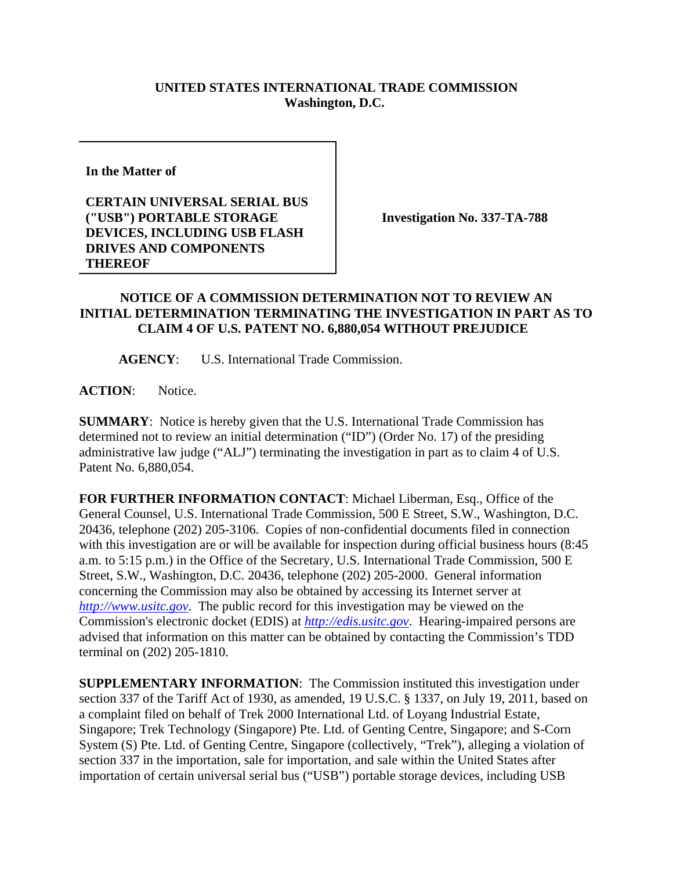## **UNITED STATES INTERNATIONAL TRADE COMMISSION Washington, D.C.**

**In the Matter of** 

## **CERTAIN UNIVERSAL SERIAL BUS ("USB") PORTABLE STORAGE DEVICES, INCLUDING USB FLASH DRIVES AND COMPONENTS THEREOF**

**Investigation No. 337-TA-788**

## **NOTICE OF A COMMISSION DETERMINATION NOT TO REVIEW AN INITIAL DETERMINATION TERMINATING THE INVESTIGATION IN PART AS TO CLAIM 4 OF U.S. PATENT NO. 6,880,054 WITHOUT PREJUDICE**

**AGENCY**: U.S. International Trade Commission.

**ACTION**: Notice.

**SUMMARY**: Notice is hereby given that the U.S. International Trade Commission has determined not to review an initial determination ("ID") (Order No. 17) of the presiding administrative law judge ("ALJ") terminating the investigation in part as to claim 4 of U.S. Patent No. 6,880,054.

**FOR FURTHER INFORMATION CONTACT**: Michael Liberman, Esq., Office of the General Counsel, U.S. International Trade Commission, 500 E Street, S.W., Washington, D.C. 20436, telephone (202) 205-3106. Copies of non-confidential documents filed in connection with this investigation are or will be available for inspection during official business hours (8:45 a.m. to 5:15 p.m.) in the Office of the Secretary, U.S. International Trade Commission, 500 E Street, S.W., Washington, D.C. 20436, telephone (202) 205-2000. General information concerning the Commission may also be obtained by accessing its Internet server at *http://www.usitc.gov*. The public record for this investigation may be viewed on the Commission's electronic docket (EDIS) at *http://edis.usitc.gov*. Hearing-impaired persons are advised that information on this matter can be obtained by contacting the Commission's TDD terminal on (202) 205-1810.

**SUPPLEMENTARY INFORMATION**: The Commission instituted this investigation under section 337 of the Tariff Act of 1930, as amended, 19 U.S.C. § 1337, on July 19, 2011, based on a complaint filed on behalf of Trek 2000 International Ltd. of Loyang Industrial Estate, Singapore; Trek Technology (Singapore) Pte. Ltd. of Genting Centre, Singapore; and S-Corn System (S) Pte. Ltd. of Genting Centre, Singapore (collectively, "Trek"), alleging a violation of section 337 in the importation, sale for importation, and sale within the United States after importation of certain universal serial bus ("USB") portable storage devices, including USB